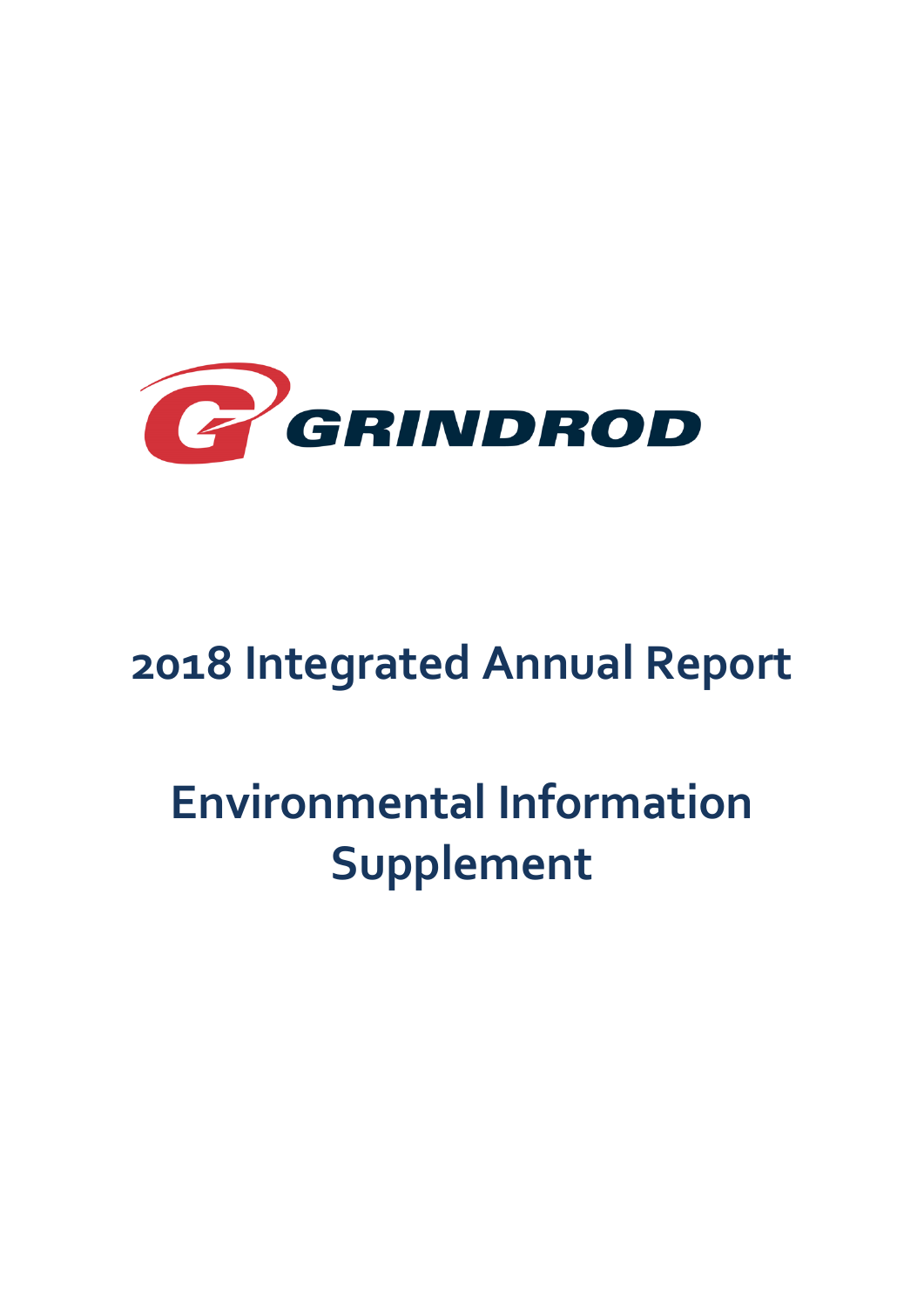

# **2018 Integrated Annual Report**

# **Environmental Information Supplement**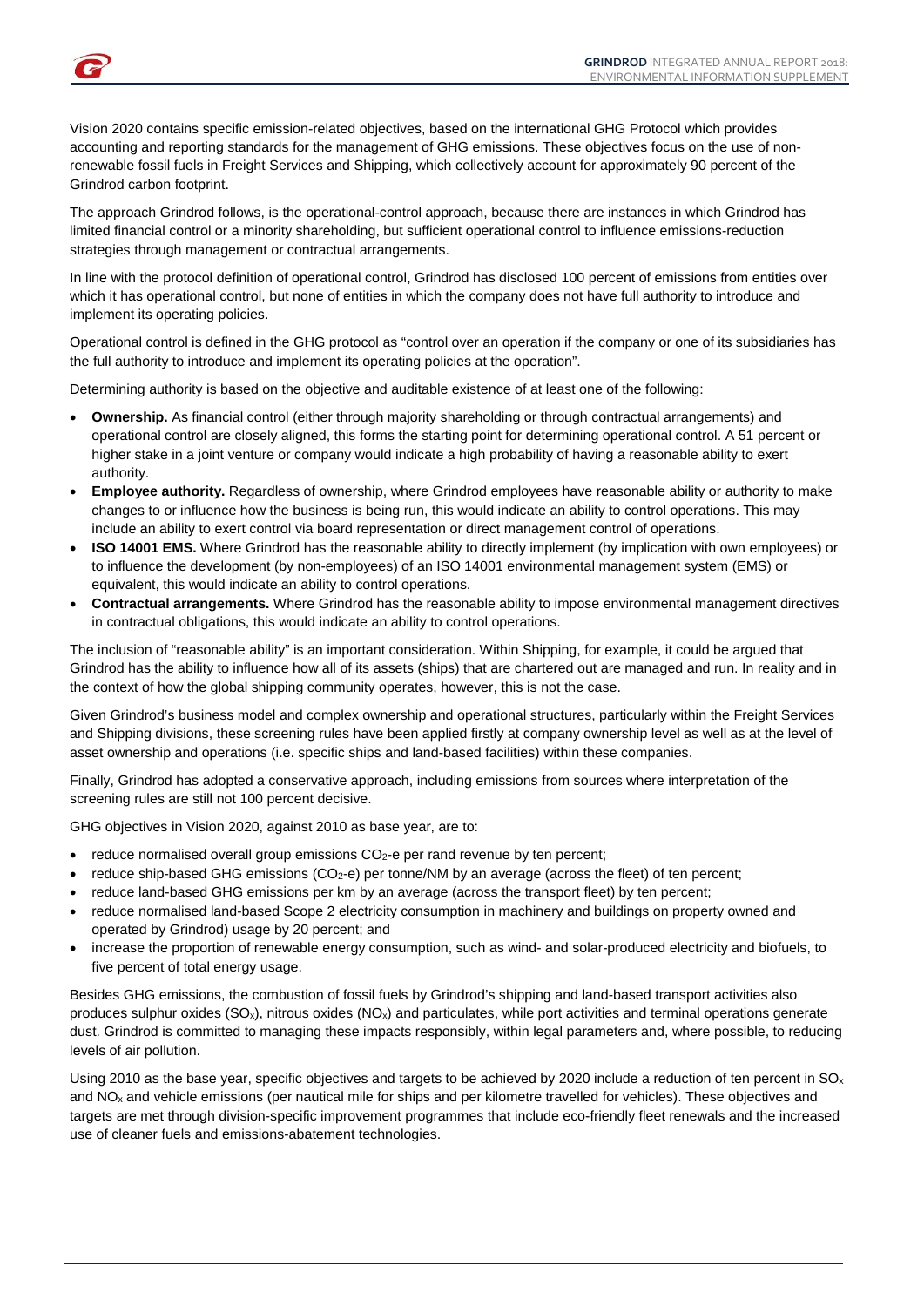Vision 2020 contains specific emission-related objectives, based on the international GHG Protocol which provides accounting and reporting standards for the management of GHG emissions. These objectives focus on the use of nonrenewable fossil fuels in Freight Services and Shipping, which collectively account for approximately 90 percent of the Grindrod carbon footprint.

The approach Grindrod follows, is the operational-control approach, because there are instances in which Grindrod has limited financial control or a minority shareholding, but sufficient operational control to influence emissions-reduction strategies through management or contractual arrangements.

In line with the protocol definition of operational control, Grindrod has disclosed 100 percent of emissions from entities over which it has operational control, but none of entities in which the company does not have full authority to introduce and implement its operating policies.

Operational control is defined in the GHG protocol as "control over an operation if the company or one of its subsidiaries has the full authority to introduce and implement its operating policies at the operation".

Determining authority is based on the objective and auditable existence of at least one of the following:

- **Ownership.** As financial control (either through majority shareholding or through contractual arrangements) and operational control are closely aligned, this forms the starting point for determining operational control. A 51 percent or higher stake in a joint venture or company would indicate a high probability of having a reasonable ability to exert authority.
- **Employee authority.** Regardless of ownership, where Grindrod employees have reasonable ability or authority to make changes to or influence how the business is being run, this would indicate an ability to control operations. This may include an ability to exert control via board representation or direct management control of operations.
- **ISO 14001 EMS.** Where Grindrod has the reasonable ability to directly implement (by implication with own employees) or to influence the development (by non-employees) of an ISO 14001 environmental management system (EMS) or equivalent, this would indicate an ability to control operations.
- **Contractual arrangements.** Where Grindrod has the reasonable ability to impose environmental management directives in contractual obligations, this would indicate an ability to control operations.

The inclusion of "reasonable ability" is an important consideration. Within Shipping, for example, it could be argued that Grindrod has the ability to influence how all of its assets (ships) that are chartered out are managed and run. In reality and in the context of how the global shipping community operates, however, this is not the case.

Given Grindrod's business model and complex ownership and operational structures, particularly within the Freight Services and Shipping divisions, these screening rules have been applied firstly at company ownership level as well as at the level of asset ownership and operations (i.e. specific ships and land-based facilities) within these companies.

Finally, Grindrod has adopted a conservative approach, including emissions from sources where interpretation of the screening rules are still not 100 percent decisive.

GHG objectives in Vision 2020, against 2010 as base year, are to:

- reduce normalised overall group emissions CO<sub>2</sub>-e per rand revenue by ten percent;
- reduce ship-based GHG emissions (CO<sub>2</sub>-e) per tonne/NM by an average (across the fleet) of ten percent;
- reduce land-based GHG emissions per km by an average (across the transport fleet) by ten percent;
- reduce normalised land-based Scope 2 electricity consumption in machinery and buildings on property owned and operated by Grindrod) usage by 20 percent; and
- increase the proportion of renewable energy consumption, such as wind- and solar-produced electricity and biofuels, to five percent of total energy usage.

Besides GHG emissions, the combustion of fossil fuels by Grindrod's shipping and land-based transport activities also produces sulphur oxides  $(SO_x)$ , nitrous oxides  $(NO_x)$  and particulates, while port activities and terminal operations generate dust. Grindrod is committed to managing these impacts responsibly, within legal parameters and, where possible, to reducing levels of air pollution.

Using 2010 as the base year, specific objectives and targets to be achieved by 2020 include a reduction of ten percent in  $SO_x$ and NOx and vehicle emissions (per nautical mile for ships and per kilometre travelled for vehicles). These objectives and targets are met through division-specific improvement programmes that include eco-friendly fleet renewals and the increased use of cleaner fuels and emissions-abatement technologies.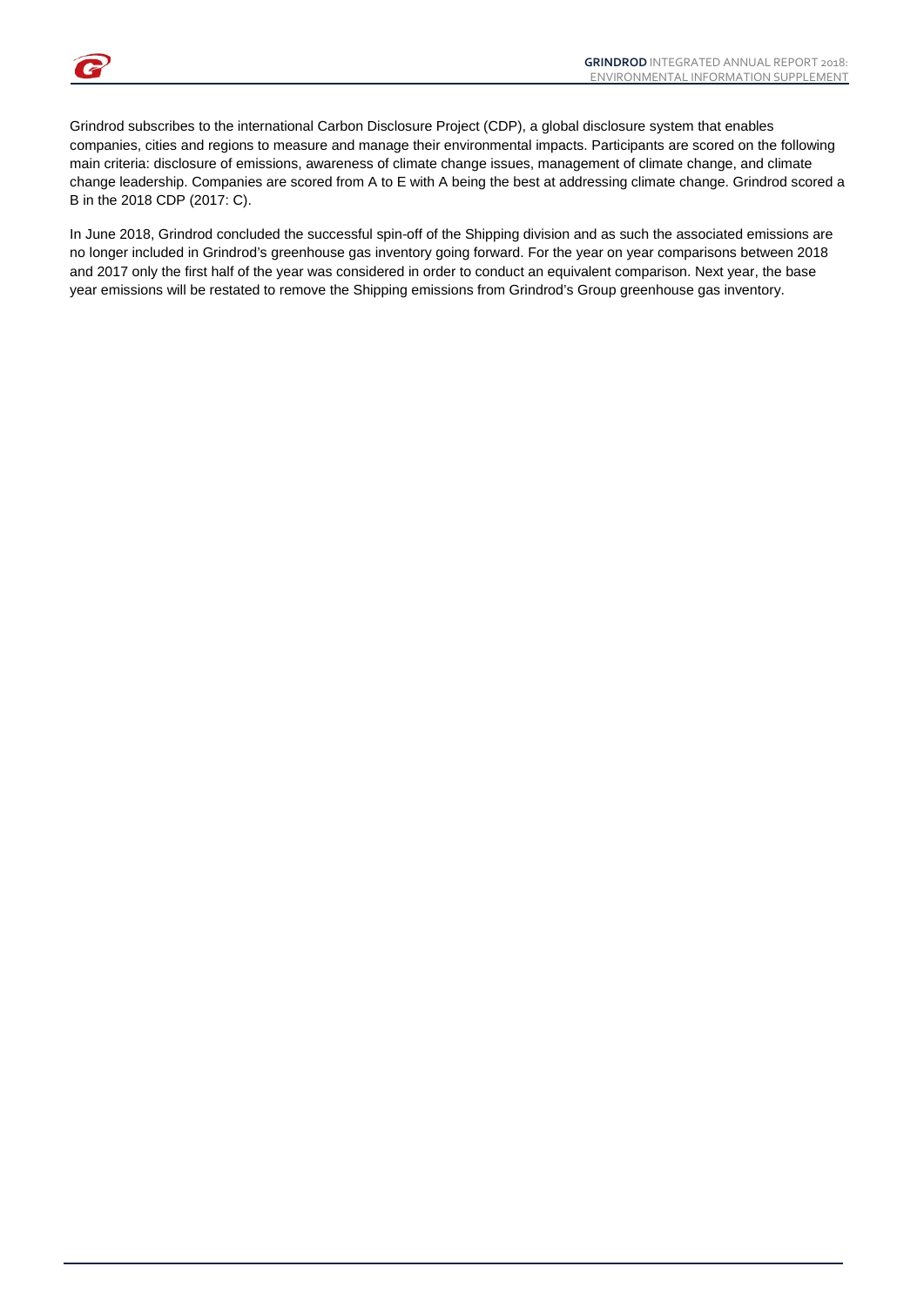Grindrod subscribes to the international Carbon Disclosure Project (CDP), a global disclosure system that enables companies, cities and regions to measure and manage their environmental impacts. Participants are scored on the following main criteria: disclosure of emissions, awareness of climate change issues, management of climate change, and climate change leadership. Companies are scored from A to E with A being the best at addressing climate change. Grindrod scored a B in the 2018 CDP (2017: C).

In June 2018, Grindrod concluded the successful spin-off of the Shipping division and as such the associated emissions are no longer included in Grindrod's greenhouse gas inventory going forward. For the year on year comparisons between 2018 and 2017 only the first half of the year was considered in order to conduct an equivalent comparison. Next year, the base year emissions will be restated to remove the Shipping emissions from Grindrod's Group greenhouse gas inventory.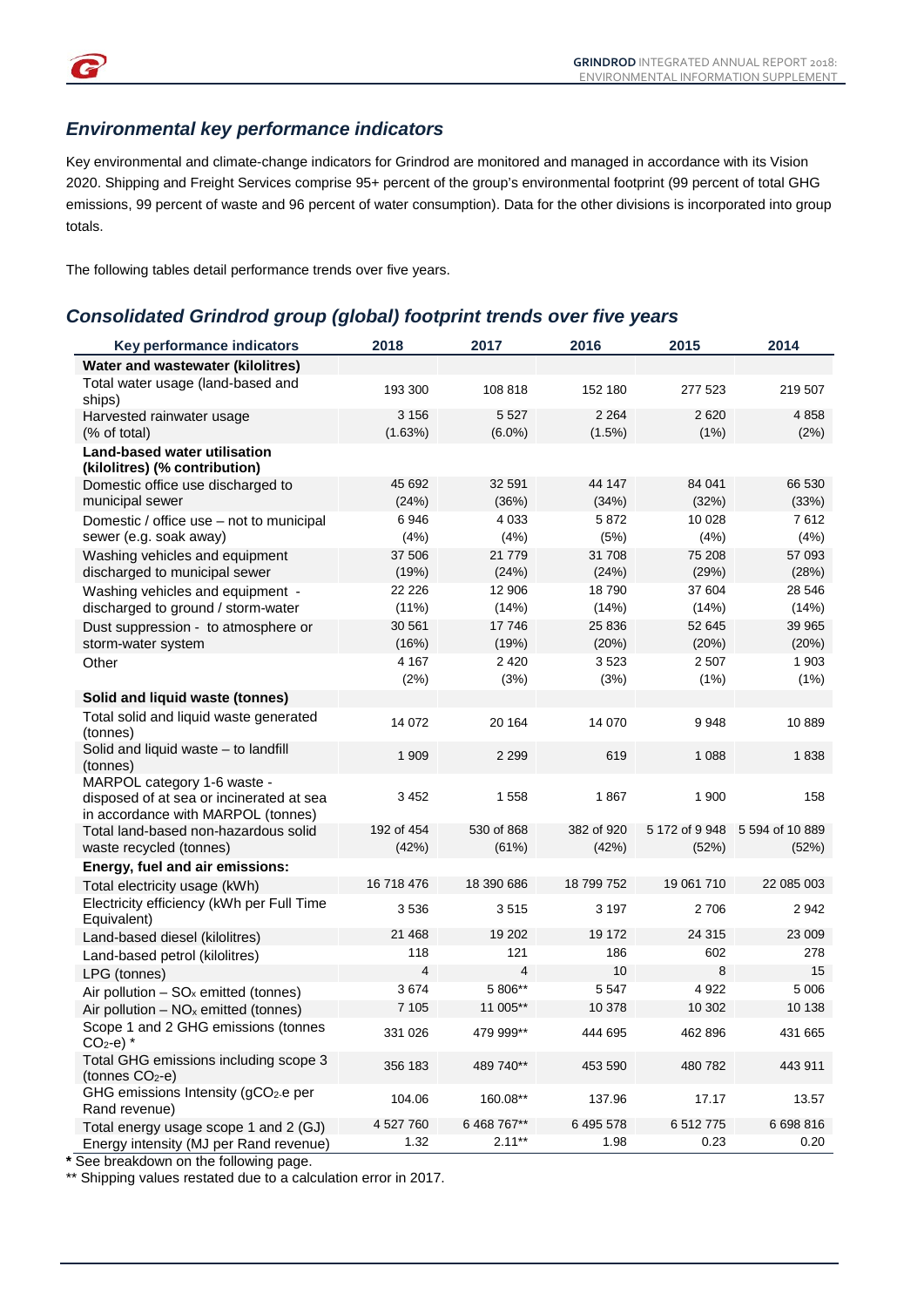

#### *Environmental key performance indicators*

Key environmental and climate-change indicators for Grindrod are monitored and managed in accordance with its Vision 2020. Shipping and Freight Services comprise 95+ percent of the group's environmental footprint (99 percent of total GHG emissions, 99 percent of waste and 96 percent of water consumption). Data for the other divisions is incorporated into group totals.

The following tables detail performance trends over five years.

#### *Consolidated Grindrod group (global) footprint trends over five years*

| Key performance indicators                                                                                    | 2018                | 2017                 | 2016                | 2015            | 2014                                    |
|---------------------------------------------------------------------------------------------------------------|---------------------|----------------------|---------------------|-----------------|-----------------------------------------|
| Water and wastewater (kilolitres)                                                                             |                     |                      |                     |                 |                                         |
| Total water usage (land-based and<br>ships)                                                                   | 193 300             | 108 818              | 152 180             | 277 523         | 219 507                                 |
| Harvested rainwater usage<br>(% of total)                                                                     | 3 1 5 6<br>(1.63%)  | 5 5 2 7<br>$(6.0\%)$ | 2 2 6 4<br>(1.5%)   | 2620<br>(1%)    | 4858<br>(2%)                            |
| <b>Land-based water utilisation</b><br>(kilolitres) (% contribution)                                          |                     |                      |                     |                 |                                         |
| Domestic office use discharged to<br>municipal sewer                                                          | 45 692<br>(24%)     | 32 591<br>(36%)      | 44 147<br>(34%)     | 84 041<br>(32%) | 66 530<br>(33%)                         |
| Domestic / office use - not to municipal<br>sewer (e.g. soak away)                                            | 6946<br>(4%)        | 4 0 3 3<br>(4%)      | 5872<br>(5%)        | 10 0 28<br>(4%) | 7612<br>(4%)                            |
| Washing vehicles and equipment<br>discharged to municipal sewer                                               | 37 506<br>(19%)     | 21 7 7 9<br>(24%)    | 31 708<br>(24%)     | 75 208<br>(29%) | 57 093<br>(28%)                         |
| Washing vehicles and equipment -<br>discharged to ground / storm-water                                        | 22 226<br>$(11\%)$  | 12 906<br>(14%)      | 18790<br>(14%)      | 37 604<br>(14%) | 28 546<br>(14%)                         |
| Dust suppression - to atmosphere or<br>storm-water system                                                     | 30 561<br>(16%)     | 17746<br>(19%)       | 25 836<br>(20%)     | 52 645<br>(20%) | 39 965<br>(20%)                         |
| Other                                                                                                         | 4 1 6 7<br>(2%)     | 2 4 2 0<br>(3%)      | 3523<br>(3%)        | 2 507<br>(1%)   | 1 903<br>$(1\%)$                        |
| Solid and liquid waste (tonnes)                                                                               |                     |                      |                     |                 |                                         |
| Total solid and liquid waste generated<br>(tonnes)                                                            | 14 0 72             | 20 164               | 14 070              | 9948            | 10889                                   |
| Solid and liquid waste - to landfill<br>(tonnes)                                                              | 1 9 0 9             | 2 2 9 9              | 619                 | 1 0 8 8         | 1838                                    |
| MARPOL category 1-6 waste -<br>disposed of at sea or incinerated at sea<br>in accordance with MARPOL (tonnes) | 3452                | 1558                 | 1867                | 1 900           | 158                                     |
| Total land-based non-hazardous solid<br>waste recycled (tonnes)                                               | 192 of 454<br>(42%) | 530 of 868<br>(61%)  | 382 of 920<br>(42%) | (52%)           | 5 172 of 9 948 5 594 of 10 889<br>(52%) |
| Energy, fuel and air emissions:                                                                               |                     |                      |                     |                 |                                         |
| Total electricity usage (kWh)                                                                                 | 16 718 476          | 18 390 686           | 18 799 752          | 19 061 710      | 22 085 003                              |
| Electricity efficiency (kWh per Full Time<br>Equivalent)                                                      | 3536                | 3515                 | 3 1 9 7             | 2706            | 2942                                    |
| Land-based diesel (kilolitres)                                                                                | 21 4 68             | 19 20 2              | 19 172              | 24 3 15         | 23 009                                  |
| Land-based petrol (kilolitres)                                                                                | 118<br>4            | 121<br>4             | 186<br>10           | 602<br>8        | 278<br>15                               |
| LPG (tonnes)                                                                                                  | 3674                | 5 806**              | 5 5 4 7             | 4922            | 5 0 0 6                                 |
| Air pollution $-$ SO <sub>x</sub> emitted (tonnes)<br>Air pollution $-$ NO <sub>x</sub> emitted (tonnes)      | 7 1 0 5             | 11 005**             | 10 378              | 10 302          | 10 138                                  |
| Scope 1 and 2 GHG emissions (tonnes<br>$CO2-e)$ *                                                             | 331 026             | 479 999**            | 444 695             | 462 896         | 431 665                                 |
| Total GHG emissions including scope 3<br>(tonnes $CO2 - e$ )                                                  | 356 183             | 489 740**            | 453 590             | 480 782         | 443 911                                 |
| GHG emissions Intensity (gCO2-e per<br>Rand revenue)                                                          | 104.06              | 160.08**             | 137.96              | 17.17           | 13.57                                   |
| Total energy usage scope 1 and 2 (GJ)                                                                         | 4 527 760           | 6 468 767**          | 6 495 578           | 6 512 775       | 6 698 816                               |
| Energy intensity (MJ per Rand revenue)                                                                        | 1.32                | $2.11***$            | 1.98                | 0.23            | 0.20                                    |

**\*** See breakdown on the following page.

\*\* Shipping values restated due to a calculation error in 2017.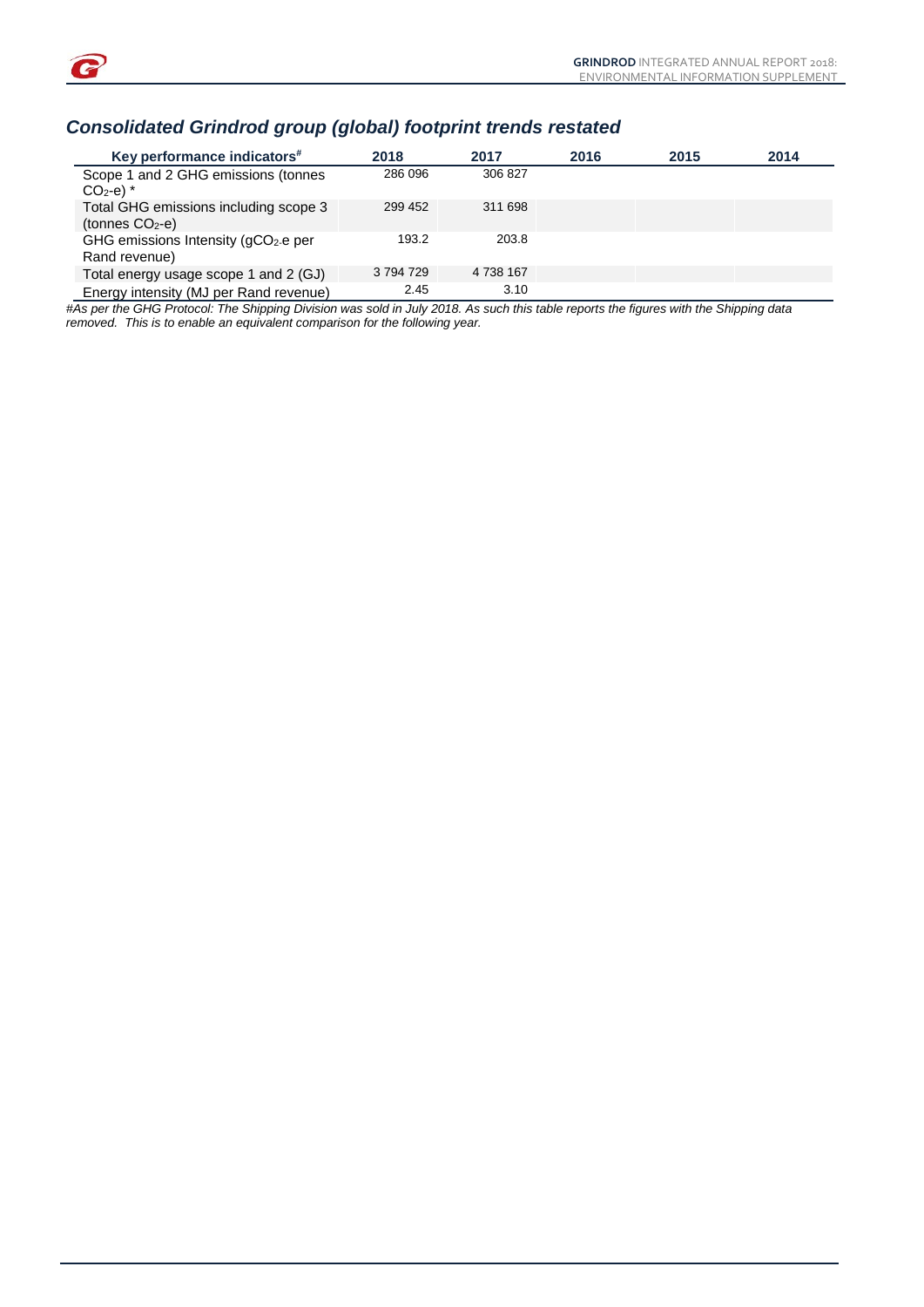

## *Consolidated Grindrod group (global) footprint trends restated*

| Key performance indicators#                                       | 2018      | 2017      | 2016 | 2015 | 2014 |
|-------------------------------------------------------------------|-----------|-----------|------|------|------|
| Scope 1 and 2 GHG emissions (tonnes<br>$CO2-e)$ *                 | 286 096   | 306827    |      |      |      |
| Total GHG emissions including scope 3<br>(tonnes $CO2 - e$ )      | 299 452   | 311 698   |      |      |      |
| GHG emissions Intensity (gCO <sub>2</sub> -e per<br>Rand revenue) | 193.2     | 203.8     |      |      |      |
| Total energy usage scope 1 and 2 (GJ)                             | 3 794 729 | 4 738 167 |      |      |      |
| Energy intensity (MJ per Rand revenue)                            | 2.45      | 3.10      |      |      |      |

*#As per the GHG Protocol: The Shipping Division was sold in July 2018. As such this table reports the figures with the Shipping data removed. This is to enable an equivalent comparison for the following year.*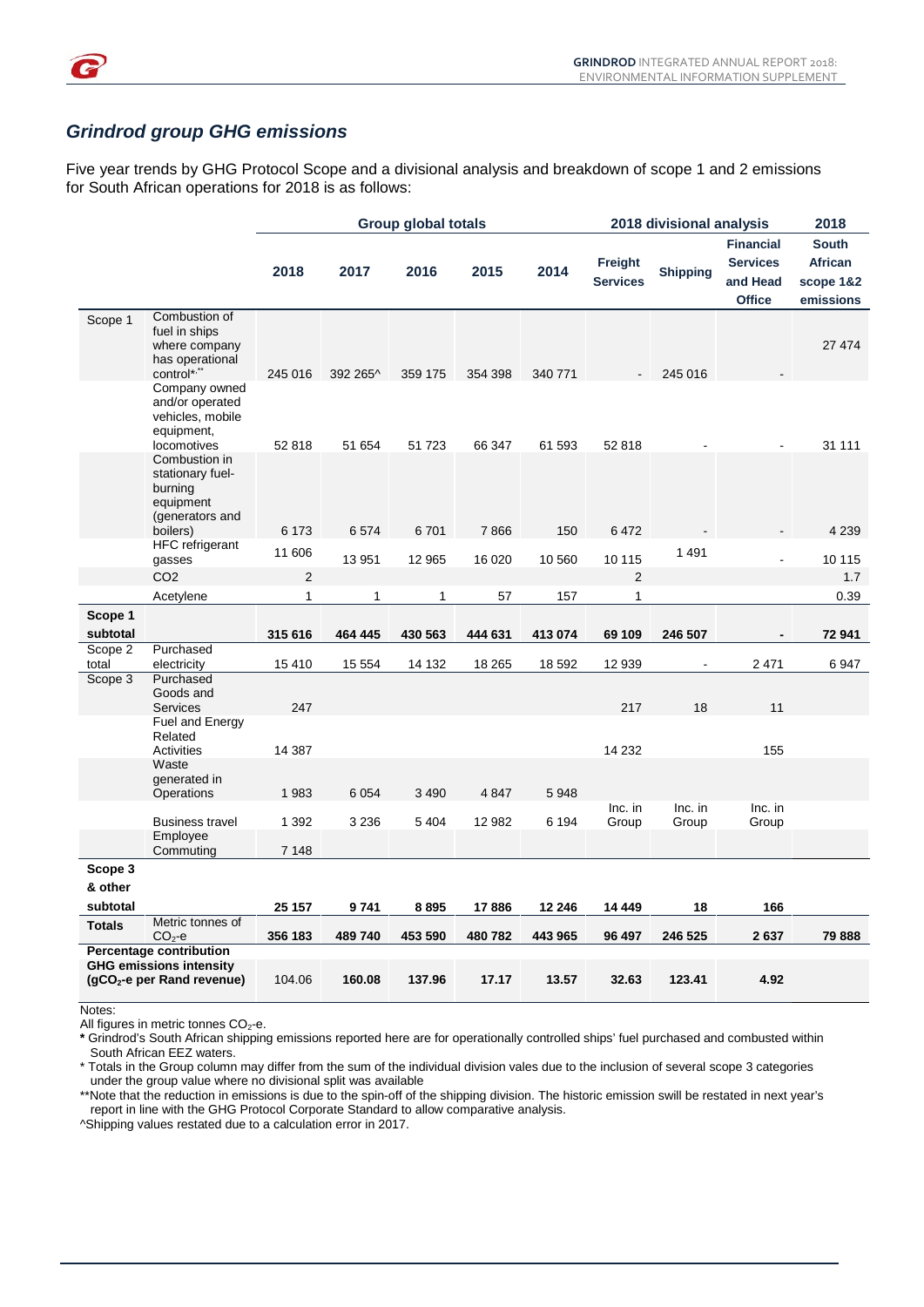

#### *Grindrod group GHG emissions*

Five year trends by GHG Protocol Scope and a divisional analysis and breakdown of scope 1 and 2 emissions for South African operations for 2018 is as follows:

|                  |                                                                                             | <b>Group global totals</b> |              |         |         |         | 2018 divisional analysis   | 2018            |                                                                  |                                                   |
|------------------|---------------------------------------------------------------------------------------------|----------------------------|--------------|---------|---------|---------|----------------------------|-----------------|------------------------------------------------------------------|---------------------------------------------------|
|                  |                                                                                             | 2018                       | 2017         | 2016    | 2015    | 2014    | Freight<br><b>Services</b> | <b>Shipping</b> | <b>Financial</b><br><b>Services</b><br>and Head<br><b>Office</b> | <b>South</b><br>African<br>scope 1&2<br>emissions |
| Scope 1          | Combustion of<br>fuel in ships<br>where company<br>has operational<br>control*,**           | 245 016                    | 392 265^     | 359 175 | 354 398 | 340 771 |                            | 245 016         |                                                                  | 27 474                                            |
|                  | Company owned<br>and/or operated<br>vehicles, mobile<br>equipment,                          |                            |              |         |         |         |                            |                 |                                                                  |                                                   |
|                  | locomotives<br>Combustion in<br>stationary fuel-<br>burning<br>equipment<br>(generators and | 52 818                     | 51 654       | 51 723  | 66 347  | 61 593  | 52 818                     |                 |                                                                  | 31 111                                            |
|                  | boilers)<br>HFC refrigerant                                                                 | 6 1 7 3                    | 6574         | 6701    | 7866    | 150     | 6472                       |                 |                                                                  | 4 2 3 9                                           |
|                  | gasses                                                                                      | 11 606                     | 13 951       | 12 965  | 16 0 20 | 10 560  | 10 115                     | 1 4 9 1         | $\overline{a}$                                                   | 10 115                                            |
|                  | CO <sub>2</sub>                                                                             | 2                          |              |         |         |         | 2                          |                 |                                                                  | 1.7                                               |
|                  | Acetylene                                                                                   | 1                          | $\mathbf{1}$ | 1       | 57      | 157     | $\mathbf{1}$               |                 |                                                                  | 0.39                                              |
| Scope 1          |                                                                                             |                            |              |         |         |         |                            |                 |                                                                  |                                                   |
| subtotal         |                                                                                             | 315 616                    | 464 445      | 430 563 | 444 631 | 413 074 | 69 109                     | 246 507         |                                                                  | 72 941                                            |
| Scope 2<br>total | Purchased<br>electricity                                                                    | 15410                      | 15 5 5 4     | 14 132  | 18 265  | 18 592  | 12 939                     |                 | 2471                                                             | 6947                                              |
| Scope 3          | Purchased<br>Goods and<br><b>Services</b>                                                   | 247                        |              |         |         |         | 217                        | 18              | 11                                                               |                                                   |
|                  | Fuel and Energy<br>Related<br>Activities                                                    | 14 387                     |              |         |         |         | 14 2 32                    |                 | 155                                                              |                                                   |
|                  | Waste<br>generated in                                                                       |                            |              |         |         |         |                            |                 |                                                                  |                                                   |
|                  | <b>Operations</b>                                                                           | 1983                       | 6 0 5 4      | 3 4 9 0 | 4 8 4 7 | 5948    | Inc. in                    | Inc. in         | $Inc.$ in                                                        |                                                   |
|                  | <b>Business travel</b>                                                                      | 1 3 9 2                    | 3 2 3 6      | 5 4 0 4 | 12 982  | 6 1 9 4 | Group                      | Group           | Group                                                            |                                                   |
|                  | Employee<br>Commuting                                                                       | 7 1 4 8                    |              |         |         |         |                            |                 |                                                                  |                                                   |
| Scope 3          |                                                                                             |                            |              |         |         |         |                            |                 |                                                                  |                                                   |
| & other          |                                                                                             |                            |              |         |         |         |                            |                 |                                                                  |                                                   |
| subtotal         |                                                                                             | 25 157                     | 9741         | 8895    | 17886   | 12 246  | 14 449                     | 18              | 166                                                              |                                                   |
| <b>Totals</b>    | Metric tonnes of<br>$CO2 - e$                                                               | 356 183                    | 489 740      | 453 590 | 480 782 | 443 965 | 96 497                     | 246 525         | 2637                                                             | 79888                                             |
|                  | <b>Percentage contribution</b><br><b>GHG emissions intensity</b>                            |                            |              |         |         |         |                            |                 |                                                                  |                                                   |
|                  | (gCO <sub>2</sub> -e per Rand revenue)                                                      | 104.06                     | 160.08       | 137.96  | 17.17   | 13.57   | 32.63                      | 123.41          | 4.92                                                             |                                                   |

Notes:

All figures in metric tonnes  $CO<sub>2</sub>$ -e.

 **\*** Grindrod's South African shipping emissions reported here are for operationally controlled ships' fuel purchased and combusted within South African EEZ waters.

 \* Totals in the Group column may differ from the sum of the individual division vales due to the inclusion of several scope 3 categories under the group value where no divisional split was available

 \*\*Note that the reduction in emissions is due to the spin-off of the shipping division. The historic emission swill be restated in next year's report in line with the GHG Protocol Corporate Standard to allow comparative analysis.

^Shipping values restated due to a calculation error in 2017.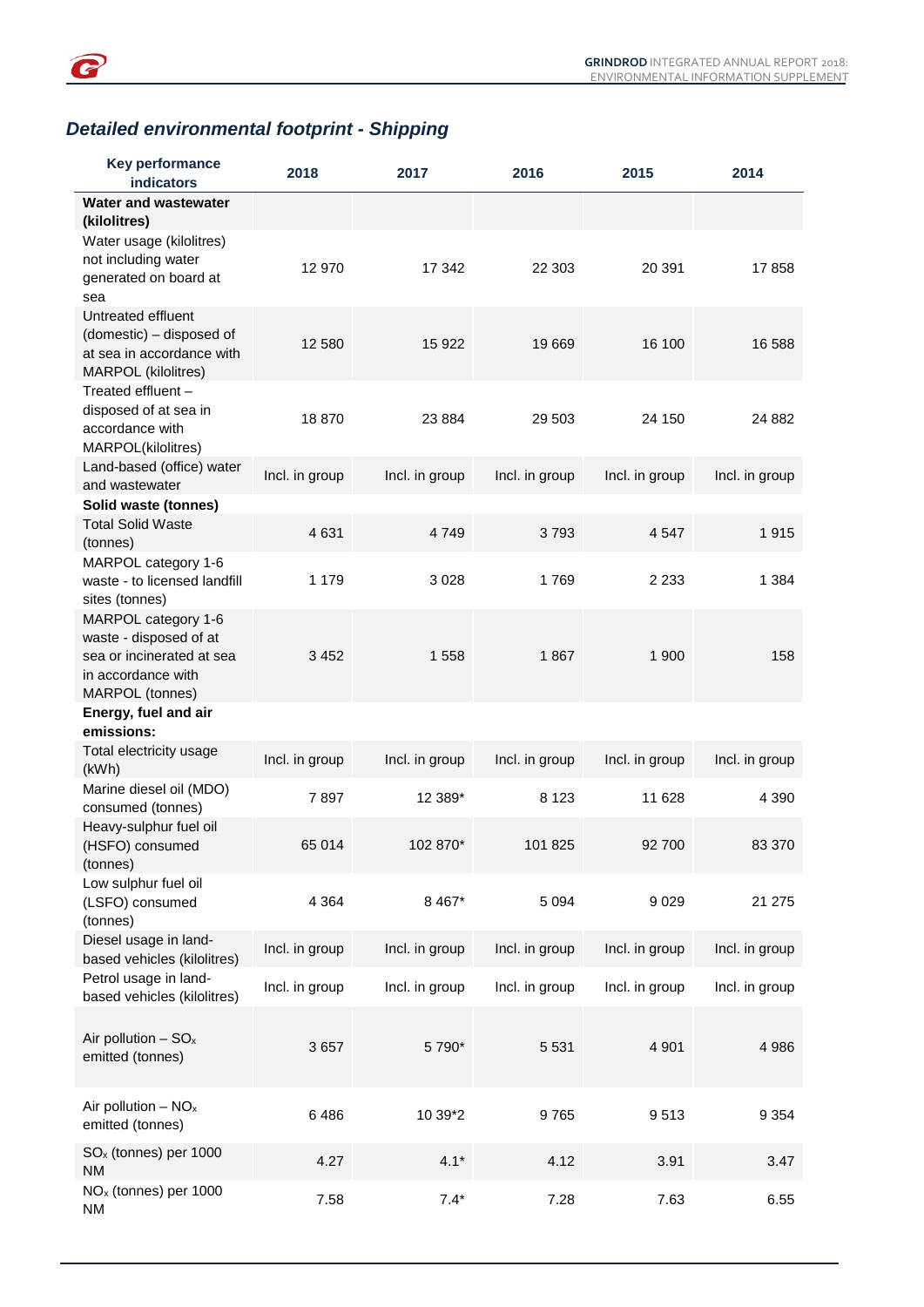

## *Detailed environmental footprint - Shipping*

| <b>Key performance</b><br>indicators                                                                                | 2018           | 2017           | 2016           | 2015           | 2014           |
|---------------------------------------------------------------------------------------------------------------------|----------------|----------------|----------------|----------------|----------------|
| Water and wastewater<br>(kilolitres)                                                                                |                |                |                |                |                |
| Water usage (kilolitres)<br>not including water<br>generated on board at<br>sea                                     | 12 970         | 17 342         | 22 303         | 20 391         | 17858          |
| Untreated effluent<br>(domestic) - disposed of<br>at sea in accordance with<br><b>MARPOL</b> (kilolitres)           | 12 580         | 15 9 22        | 19 669         | 16 100         | 16 588         |
| Treated effluent -<br>disposed of at sea in<br>accordance with<br>MARPOL(kilolitres)                                | 18870          | 23 8 84        | 29 503         | 24 150         | 24 882         |
| Land-based (office) water<br>and wastewater                                                                         | Incl. in group | Incl. in group | Incl. in group | Incl. in group | Incl. in group |
| Solid waste (tonnes)<br><b>Total Solid Waste</b>                                                                    |                |                |                |                |                |
| (tonnes)                                                                                                            | 4 6 3 1        | 4 7 4 9        | 3793           | 4 5 4 7        | 1915           |
| MARPOL category 1-6<br>waste - to licensed landfill<br>sites (tonnes)                                               | 1 1 7 9        | 3028           | 1769           | 2 2 3 3        | 1 3 8 4        |
| MARPOL category 1-6<br>waste - disposed of at<br>sea or incinerated at sea<br>in accordance with<br>MARPOL (tonnes) | 3 4 5 2        | 1558           | 1867           | 1 900          | 158            |
| Energy, fuel and air<br>emissions:                                                                                  |                |                |                |                |                |
| Total electricity usage<br>(kWh)                                                                                    | Incl. in group | Incl. in group | Incl. in group | Incl. in group | Incl. in group |
| Marine diesel oil (MDO)<br>consumed (tonnes)                                                                        | 7897           | 12 389*        | 8 1 2 3        | 11 628         | 4 3 9 0        |
| Heavy-sulphur fuel oil<br>(HSFO) consumed<br>(tonnes)                                                               | 65 014         | 102 870*       | 101 825        | 92 700         | 83 370         |
| Low sulphur fuel oil<br>(LSFO) consumed<br>(tonnes)                                                                 | 4 3 6 4        | 8 4 67*        | 5 0 9 4        | 9029           | 21 275         |
| Diesel usage in land-<br>based vehicles (kilolitres)                                                                | Incl. in group | Incl. in group | Incl. in group | Incl. in group | Incl. in group |
| Petrol usage in land-<br>based vehicles (kilolitres)                                                                | Incl. in group | Incl. in group | Incl. in group | Incl. in group | Incl. in group |
| Air pollution $-$ SO <sub>x</sub><br>emitted (tonnes)                                                               | 3657           | 5 790*         | 5 5 3 1        | 4 9 0 1        | 4 9 8 6        |
| Air pollution $- NO_x$<br>emitted (tonnes)                                                                          | 6486           | 10 39*2        | 9765           | 9513           | 9 3 5 4        |
| $SOx$ (tonnes) per 1000<br><b>NM</b>                                                                                | 4.27           | $4.1*$         | 4.12           | 3.91           | 3.47           |
| NO <sub>x</sub> (tonnes) per 1000<br><b>NM</b>                                                                      | 7.58           | $7.4*$         | 7.28           | 7.63           | 6.55           |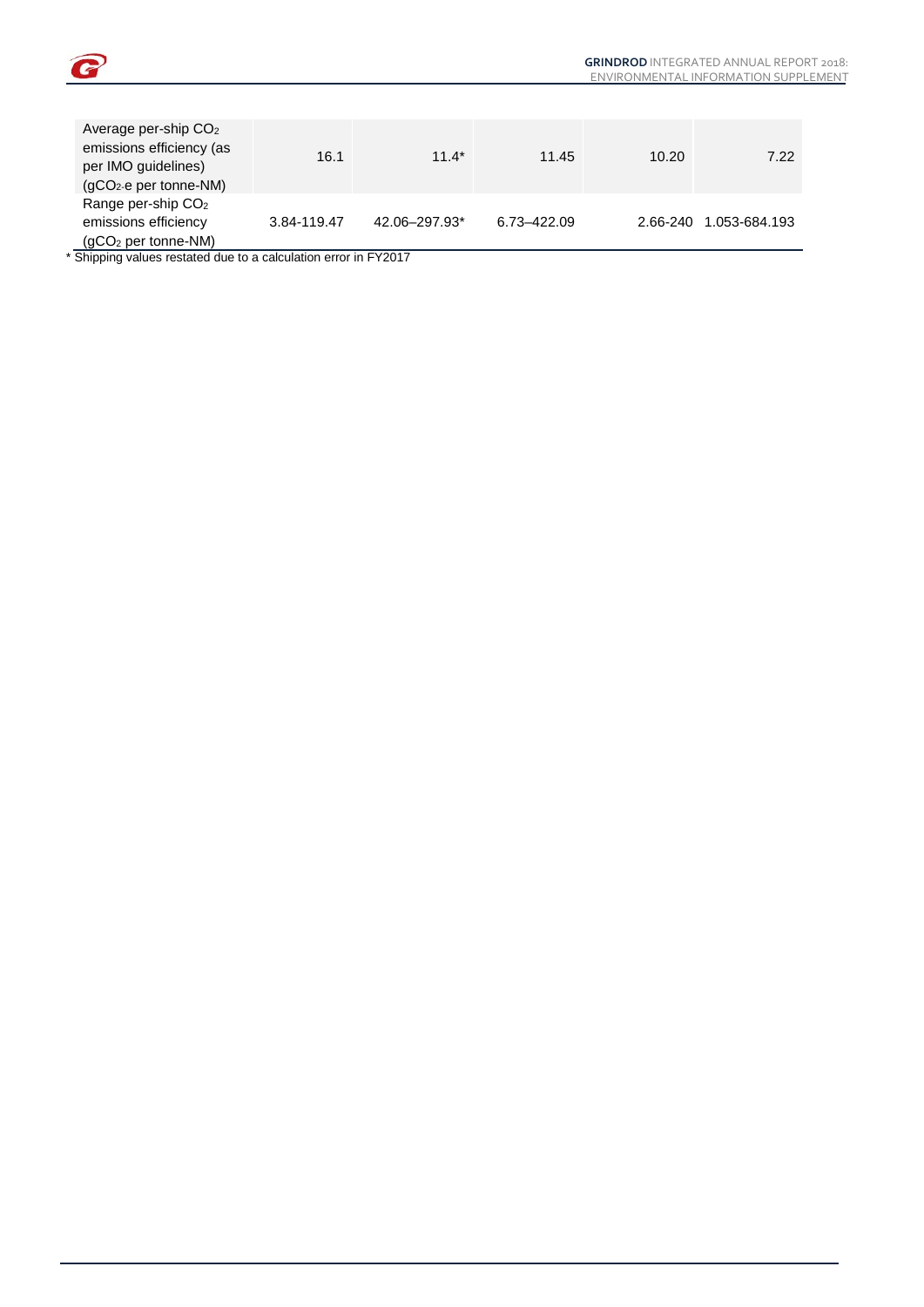

| Average per-ship CO <sub>2</sub><br>emissions efficiency (as<br>per IMO guidelines)<br>(gCO <sub>2</sub> -e per tonne-NM) | 16.1        | $11.4*$       | 11.45       | 10.20    | 7.22          |
|---------------------------------------------------------------------------------------------------------------------------|-------------|---------------|-------------|----------|---------------|
| Range per-ship CO <sub>2</sub><br>emissions efficiency<br>$(gCO2$ per tonne-NM)                                           | 3.84-119.47 | 42.06-297.93* | 6.73-422.09 | 2.66-240 | 1.053-684.193 |

\* Shipping values restated due to a calculation error in FY2017